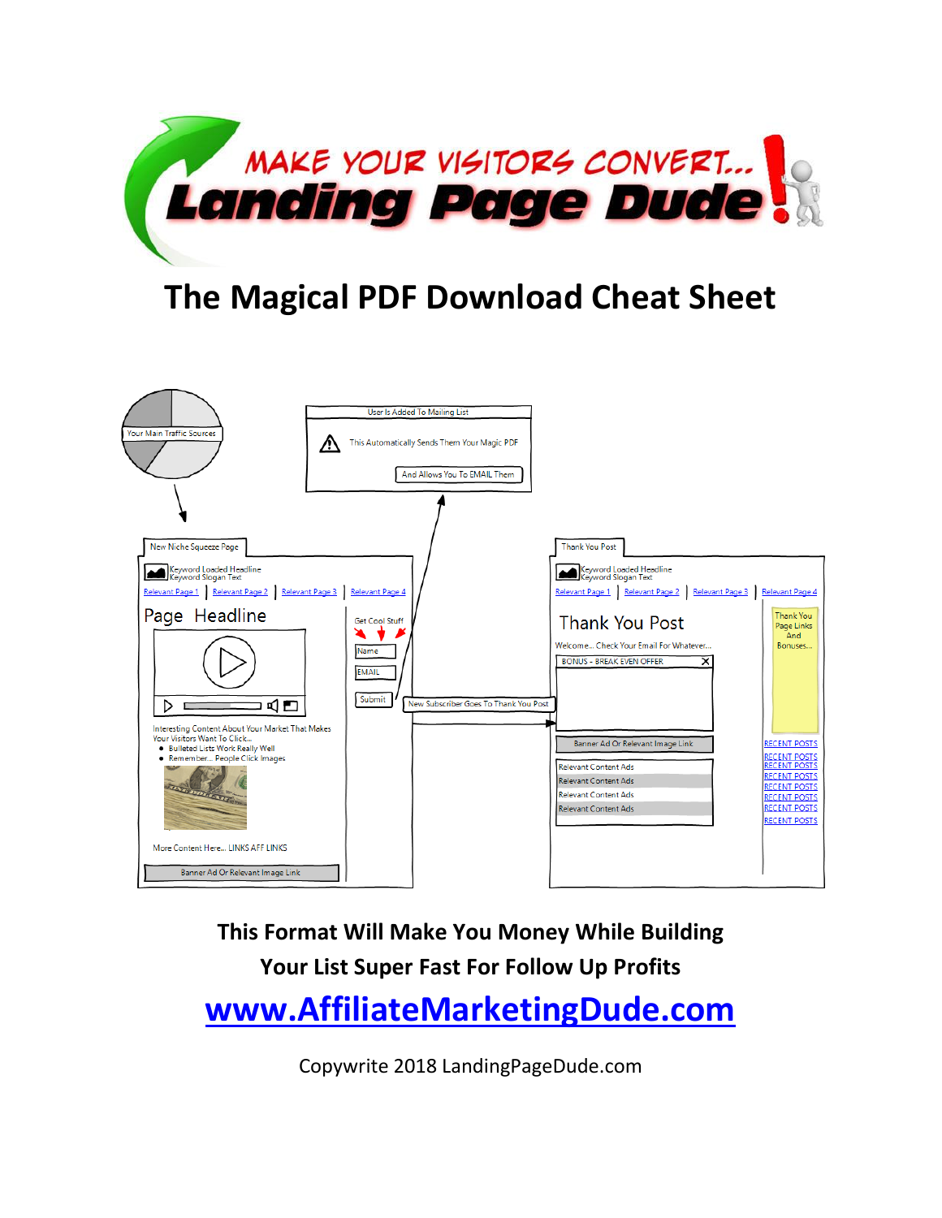

## **The Magical PDF Download Cheat Sheet**



**This Format Will Make You Money While Building Your List Super Fast For Follow Up Profits [www.AffiliateMarketingDude.com](http://www.affiliatemarketingdude.com/)**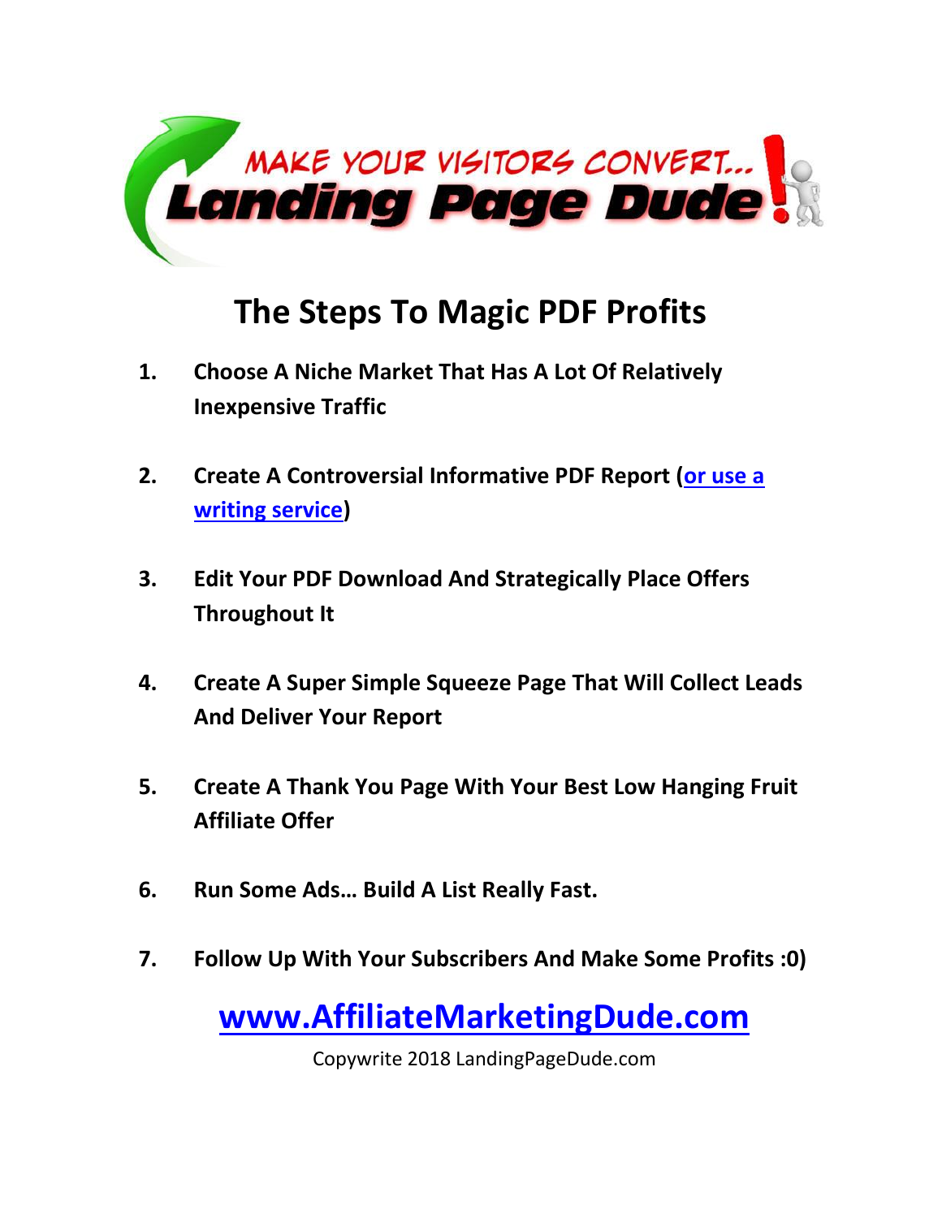

## **The Steps To Magic PDF Profits**

- **1. Choose A Niche Market That Has A Lot Of Relatively Inexpensive Traffic**
- **2. Create A Controversial Informative PDF Report [\(or use a](http://www.getwebsitecontent.com/)  [writing service\)](http://www.getwebsitecontent.com/)**
- **3. Edit Your PDF Download And Strategically Place Offers Throughout It**
- **4. Create A Super Simple Squeeze Page That Will Collect Leads And Deliver Your Report**
- **5. Create A Thank You Page With Your Best Low Hanging Fruit Affiliate Offer**
- **6. Run Some Ads… Build A List Really Fast.**
- **7. Follow Up With Your Subscribers And Make Some Profits :0)**

**[www.AffiliateMarketingDude.com](http://www.affiliatemarketingdude.com/)**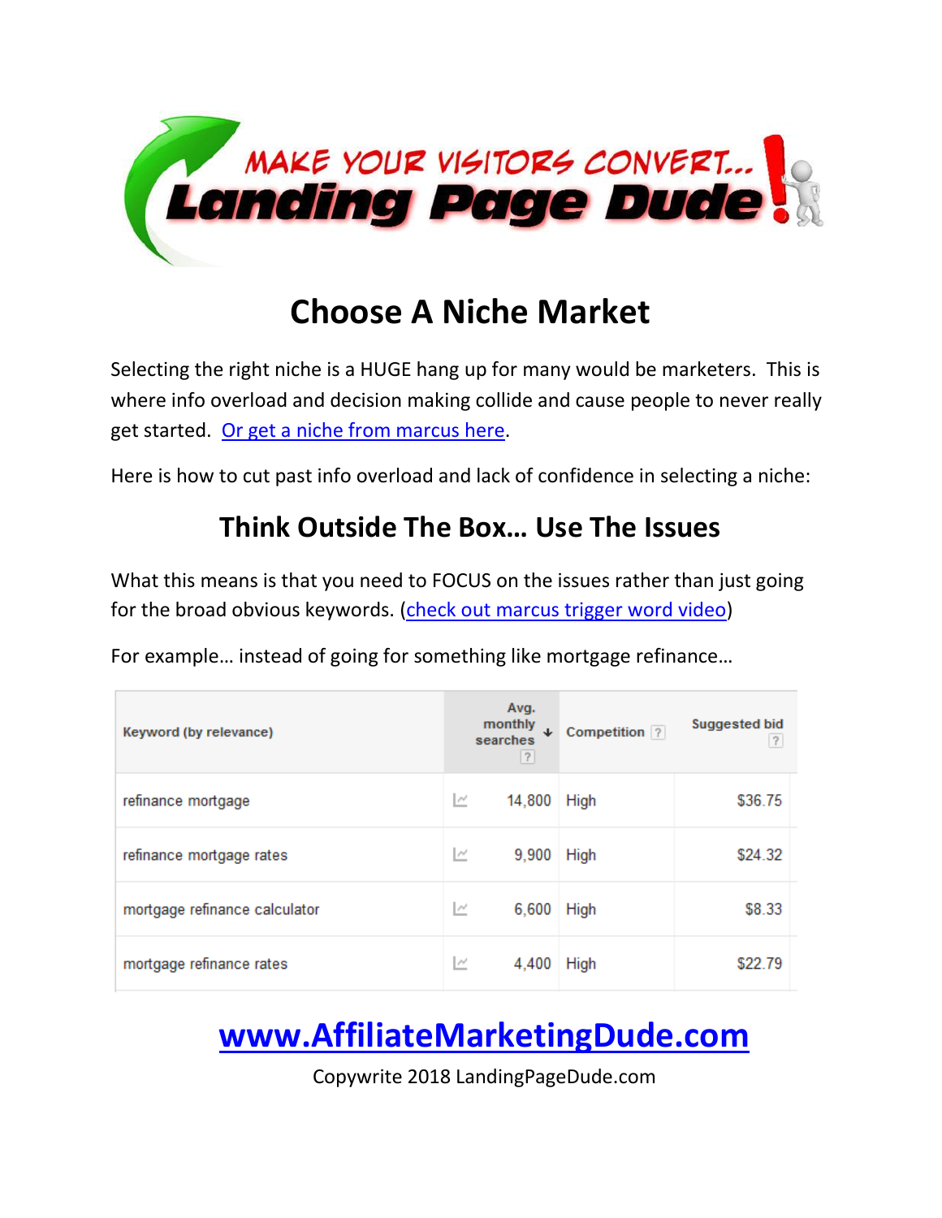

### **Choose A Niche Market**

Selecting the right niche is a HUGE hang up for many would be marketers. This is where info overload and decision making collide and cause people to never really get started. [Or get a niche from marcus here.](http://www.highticketniches.com/)

Here is how to cut past info overload and lack of confidence in selecting a niche:

#### **Think Outside The Box… Use The Issues**

What this means is that you need to FOCUS on the issues rather than just going for the broad obvious keywords. [\(check out marcus trigger word video\)](http://blogprofitnetwork.com/?p=1244)

For example… instead of going for something like mortgage refinance…

| Keyword (by relevance)        | Avg.<br>monthly<br>J<br>searches<br> ? | Competition ? | <b>Suggested bid</b><br>$\overline{?}$ |
|-------------------------------|----------------------------------------|---------------|----------------------------------------|
| refinance mortgage            | 14,800<br>ĸ                            | High          | \$36.75                                |
| refinance mortgage rates      | ĸ<br>9,900                             | High          | \$24.32                                |
| mortgage refinance calculator | M<br>6,600                             | <b>High</b>   | \$8.33                                 |
| mortgage refinance rates      | Ľ<br>4,400                             | <b>High</b>   | \$22.79                                |

# **[www.AffiliateMarketingDude.com](http://www.affiliatemarketingdude.com/)**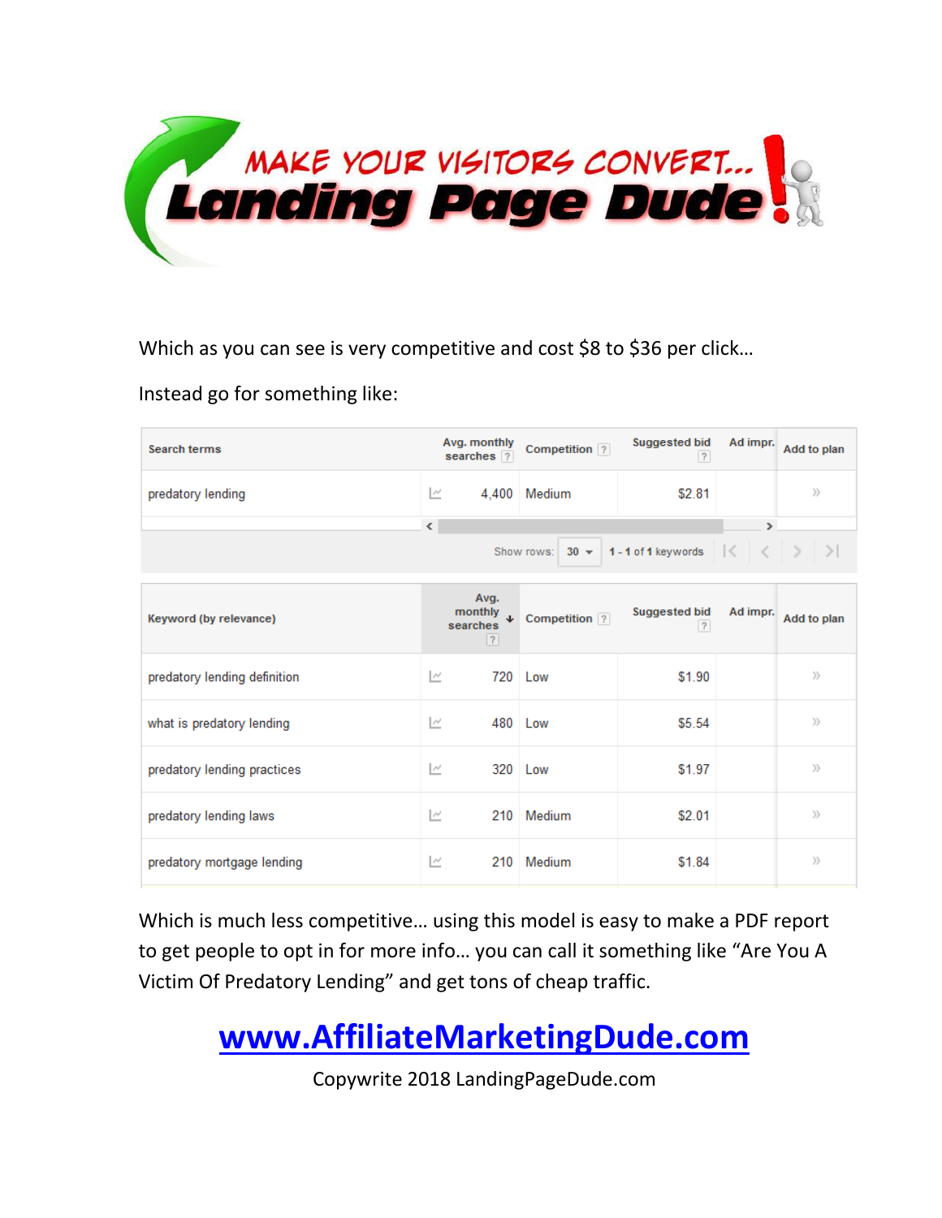

Which as you can see is very competitive and cost \$8 to \$36 per click...

Instead go for something like:

| <b>Search terms</b>                                                       | Avg. monthly<br>searches ?                     | Competition ? | <b>Suggested bid</b><br> ? | Ad impr.      | Add to plan   |
|---------------------------------------------------------------------------|------------------------------------------------|---------------|----------------------------|---------------|---------------|
| predatory lending                                                         | M<br>4.400                                     | Medium        | \$2.81                     |               | y)            |
|                                                                           | $\hat{~}$                                      |               |                            | $\rightarrow$ |               |
| 1-1 of 1 keywords $ \langle \cdot   \cdot \rangle  $<br>Show rows: $30 -$ |                                                |               |                            |               |               |
| Keyword (by relevance)                                                    | Avg.<br>monthly $\downarrow$<br>searches<br> ? | Competition ? | <b>Suggested bid</b><br> ? | Ad impr.      | Add to plan   |
| predatory lending definition                                              | $\overline{\phantom{a}}$<br>720                | Low           | \$1.90                     |               | $\mathcal{Y}$ |
| what is predatory lending                                                 | $\sim$                                         | 480 Low       | \$5.54                     |               | $\mathcal{Y}$ |
| predatory lending practices                                               | 320<br>M                                       | Low           | \$1.97                     |               | y)            |
| predatory lending laws                                                    | M<br>210                                       | Medium        | \$2.01                     |               | y)            |
| predatory mortgage lending                                                | P<br>210                                       | Medium        | \$1.84                     |               | »             |

Which is much less competitive… using this model is easy to make a PDF report to get people to opt in for more info… you can call it something like "Are You A Victim Of Predatory Lending" and get tons of cheap traffic.

## **[www.AffiliateMarketingDude.com](http://www.affiliatemarketingdude.com/)**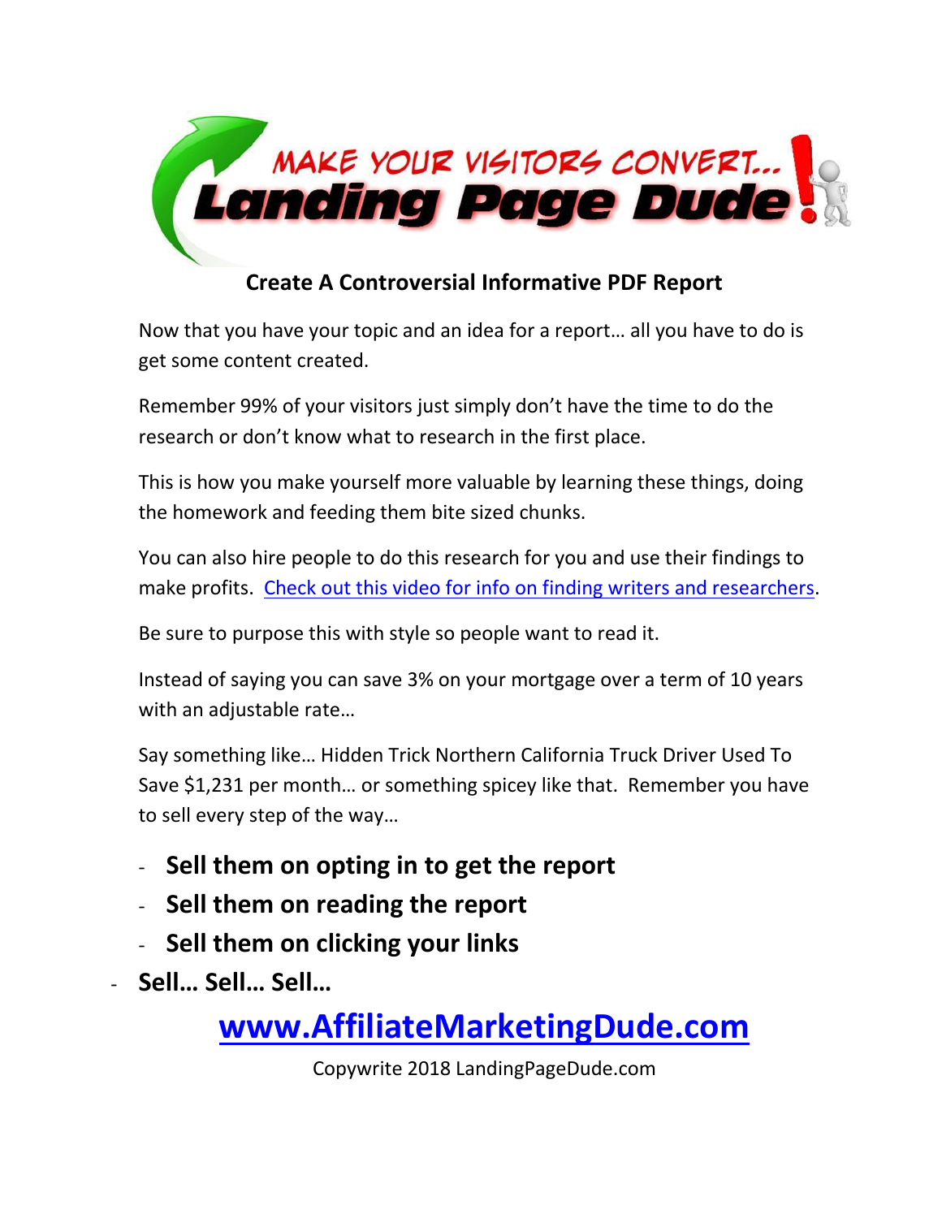

#### **Create A Controversial Informative PDF Report**

Now that you have your topic and an idea for a report… all you have to do is get some content created.

Remember 99% of your visitors just simply don't have the time to do the research or don't know what to research in the first place.

This is how you make yourself more valuable by learning these things, doing the homework and feeding them bite sized chunks.

You can also hire people to do this research for you and use their findings to make profits. [Check out this video for info on finding writers and researchers.](http://blogprofitnetwork.com/?p=1288)

Be sure to purpose this with style so people want to read it.

Instead of saying you can save 3% on your mortgage over a term of 10 years with an adjustable rate…

Say something like… Hidden Trick Northern California Truck Driver Used To Save \$1,231 per month… or something spicey like that. Remember you have to sell every step of the way…

- **Sell them on opting in to get the report**
- **Sell them on reading the report**
- **Sell them on clicking your links**
- **Sell… Sell… Sell…**

**[www.AffiliateMarketingDude.com](http://www.affiliatemarketingdude.com/)**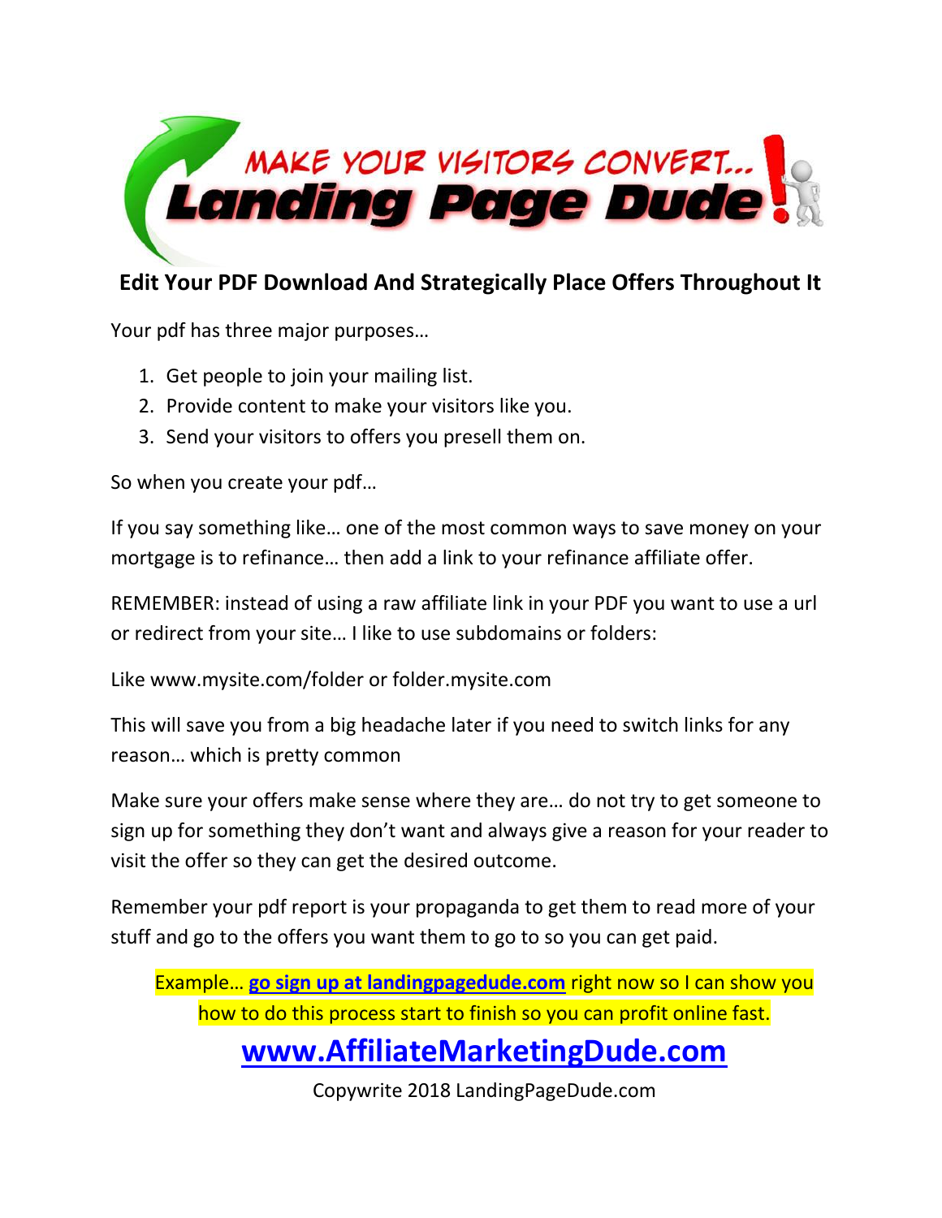

#### **Edit Your PDF Download And Strategically Place Offers Throughout It**

Your pdf has three major purposes…

- 1. Get people to join your mailing list.
- 2. Provide content to make your visitors like you.
- 3. Send your visitors to offers you presell them on.

So when you create your pdf…

If you say something like… one of the most common ways to save money on your mortgage is to refinance… then add a link to your refinance affiliate offer.

REMEMBER: instead of using a raw affiliate link in your PDF you want to use a url or redirect from your site… I like to use subdomains or folders:

Like www.mysite.com/folder or folder.mysite.com

This will save you from a big headache later if you need to switch links for any reason… which is pretty common

Make sure your offers make sense where they are… do not try to get someone to sign up for something they don't want and always give a reason for your reader to visit the offer so they can get the desired outcome.

Remember your pdf report is your propaganda to get them to read more of your stuff and go to the offers you want them to go to so you can get paid.

Example… **[go sign up at landingpagedude.com](http://www.landingpagedude.com/)** right now so I can show you how to do this process start to finish so you can profit online fast.

#### **[www.AffiliateMarketingDude.com](http://www.affiliatemarketingdude.com/)**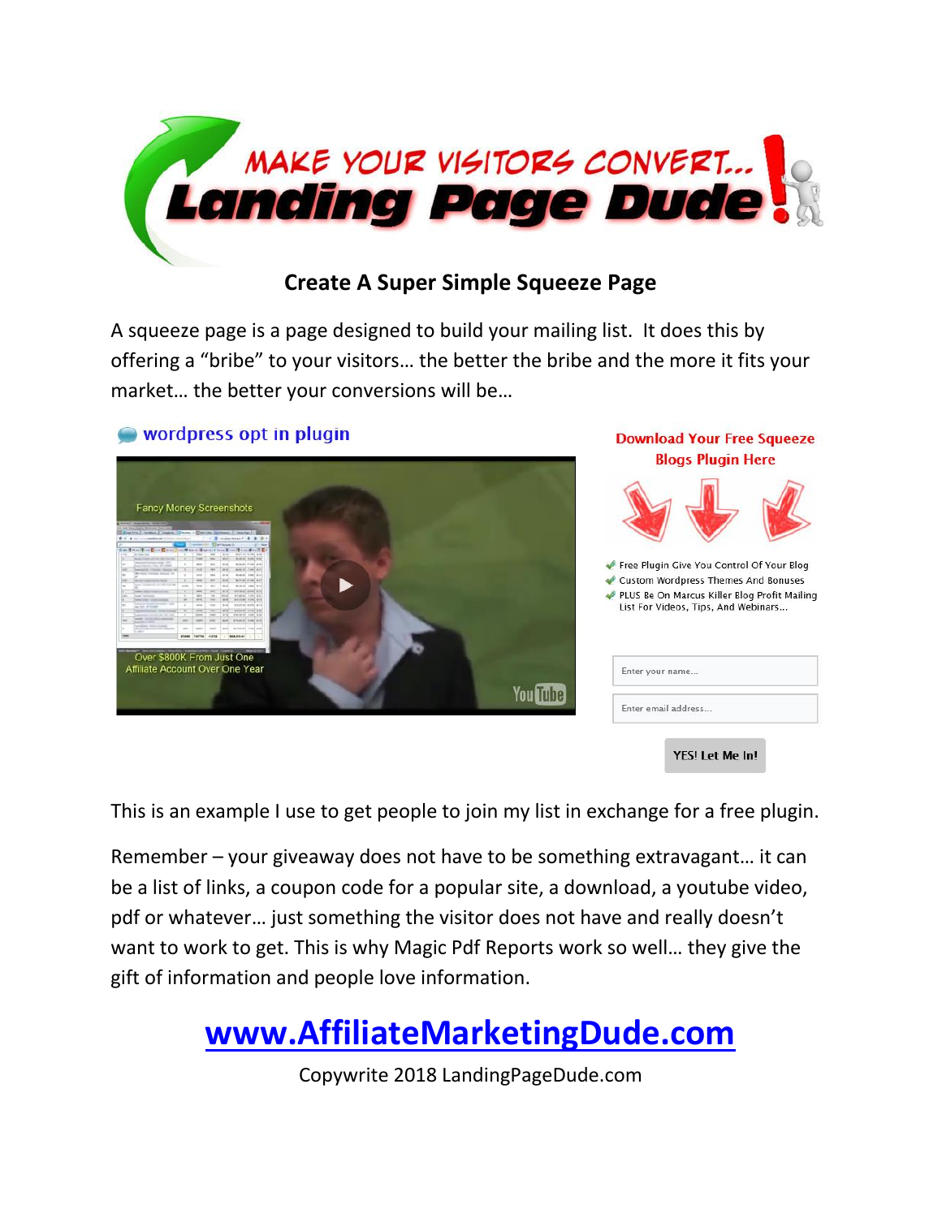

#### **Create A Super Simple Squeeze Page**

A squeeze page is a page designed to build your mailing list. It does this by offering a "bribe" to your visitors… the better the bribe and the more it fits your market… the better your conversions will be…

#### wordpress opt in plugin



**Download Your Free Squeeze Blogs Plugin Here** 



List For Videos, Tips, And Webinars...

| Enter your name     |  |
|---------------------|--|
| Enter email address |  |

YES! Let Me In!

This is an example I use to get people to join my list in exchange for a free plugin.

Remember – your giveaway does not have to be something extravagant… it can be a list of links, a coupon code for a popular site, a download, a youtube video, pdf or whatever… just something the visitor does not have and really doesn't want to work to get. This is why Magic Pdf Reports work so well… they give the gift of information and people love information.

#### **[www.AffiliateMarketingDude.com](http://www.affiliatemarketingdude.com/)**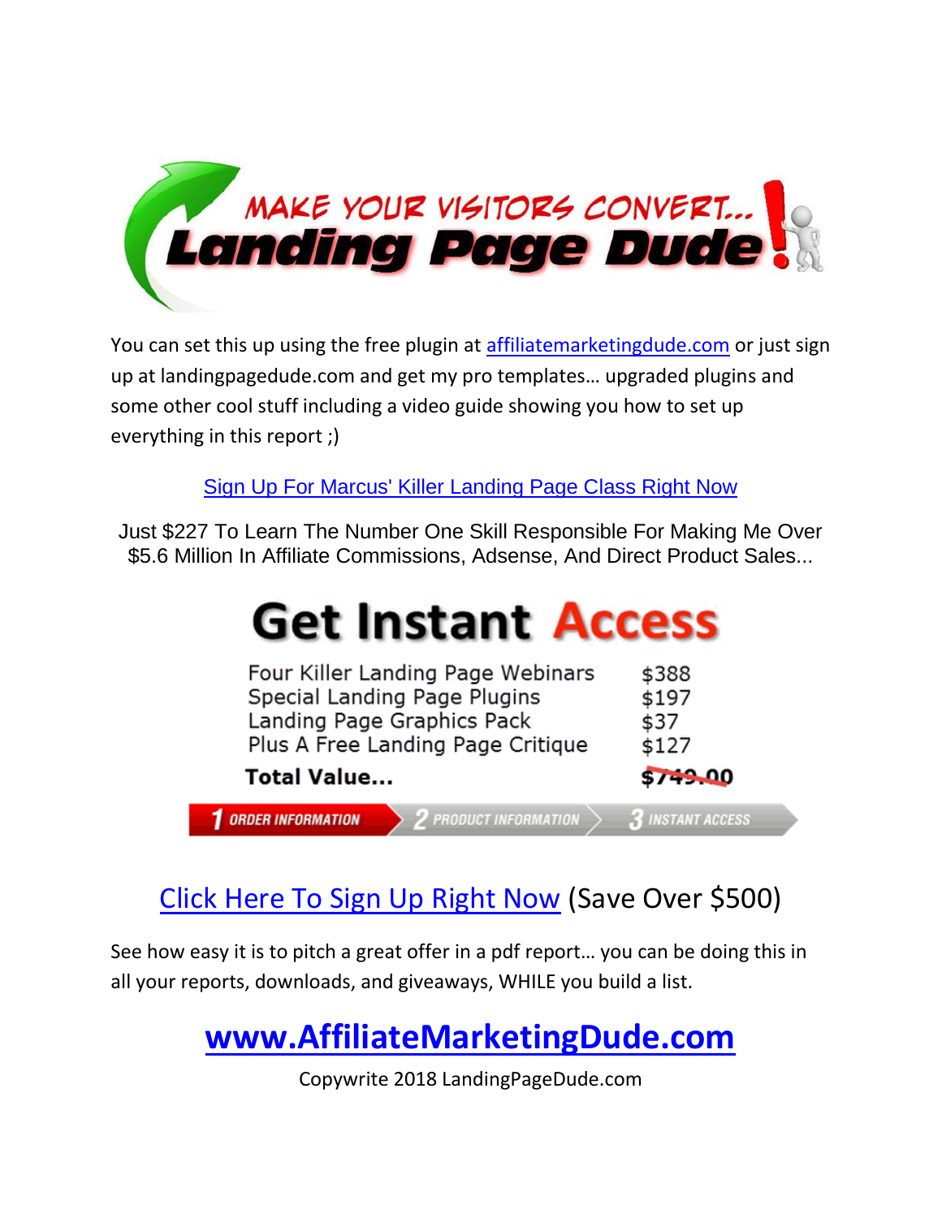

You can set this up using the free plugin at [affiliatemarketingdude.com](http://www.affiliatemarketingdude.com/) or just sign up at landingpagedude.com and get my pro templates… upgraded plugins and some other cool stuff including a video guide showing you how to set up everything in this report ;)

[Sign Up For Marcus' Killer Landing Page Class Right Now](http://www.landingpagedude.com/)

Just \$227 To Learn The Number One Skill Responsible For Making Me Over \$5.6 Million In Affiliate Commissions, Adsense, And Direct Product Sales...

# **Get Instant Access**

| Four Killer Landing Page Webinars                      | \$388                 |
|--------------------------------------------------------|-----------------------|
| Special Landing Page Plugins                           | \$197                 |
| Landing Page Graphics Pack                             | \$37                  |
| Plus A Free Landing Page Critique                      | \$127                 |
| <b>Total Value</b>                                     | \$749.00              |
| <b>ORDER INFORMATION</b><br><b>PRODUCT INFORMATION</b> | <b>INSTANT ACCESS</b> |

#### [Click Here To Sign Up Right Now](http://www.landingpagedude.com/) (Save Over \$500)

See how easy it is to pitch a great offer in a pdf report… you can be doing this in all your reports, downloads, and giveaways, WHILE you build a list.

## **[www.AffiliateMarketingDude.com](http://www.affiliatemarketingdude.com/)**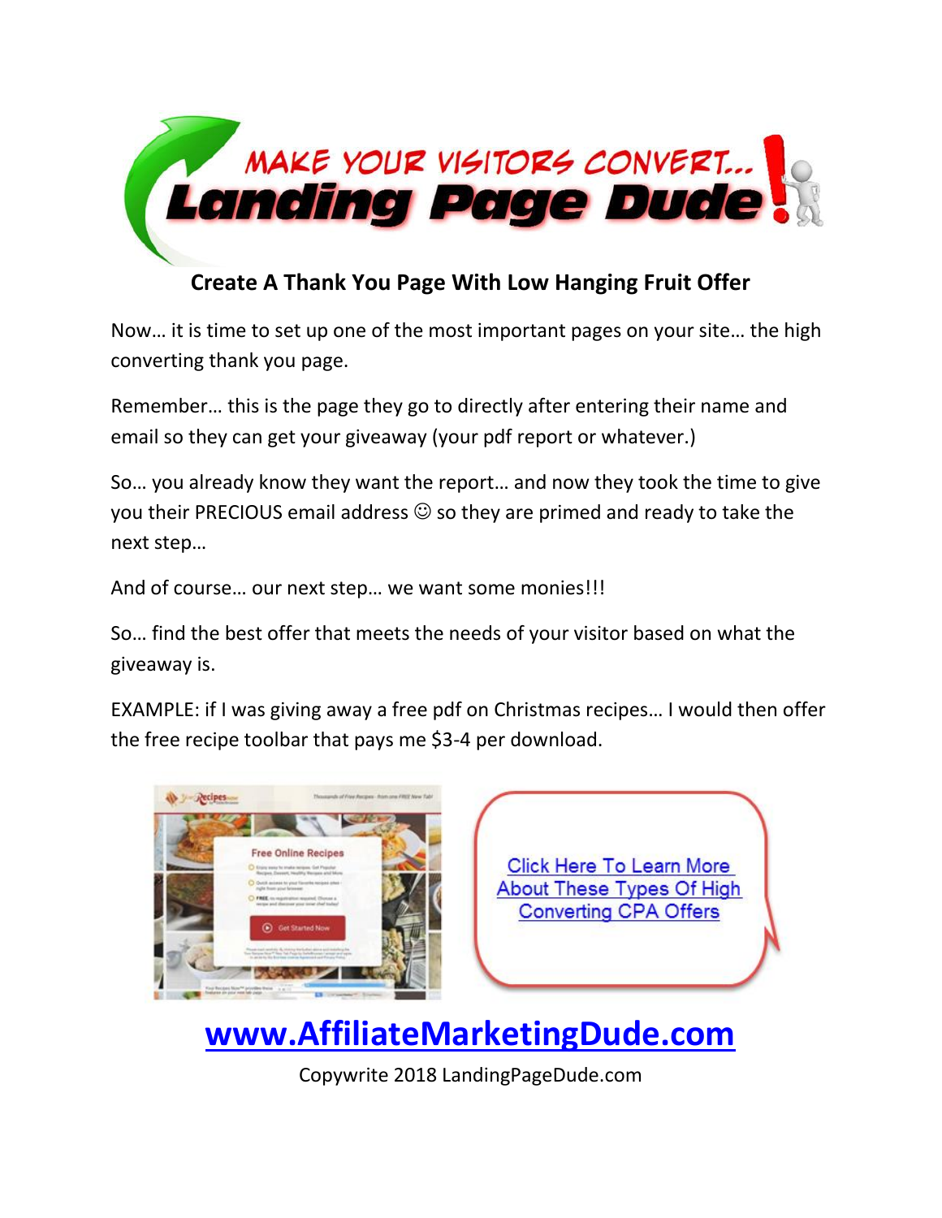

#### **Create A Thank You Page With Low Hanging Fruit Offer**

Now… it is time to set up one of the most important pages on your site… the high converting thank you page.

Remember… this is the page they go to directly after entering their name and email so they can get your giveaway (your pdf report or whatever.)

So… you already know they want the report… and now they took the time to give you their PRECIOUS email address  $\odot$  so they are primed and ready to take the next step…

And of course… our next step… we want some monies!!!

So… find the best offer that meets the needs of your visitor based on what the giveaway is.

EXAMPLE: if I was giving away a free pdf on Christmas recipes… I would then offer the free recipe toolbar that pays me \$3-4 per download.



**Click Here To Learn More** About These Types Of High **Converting CPA Offers** 

**[www.AffiliateMarketingDude.com](http://www.affiliatemarketingdude.com/)**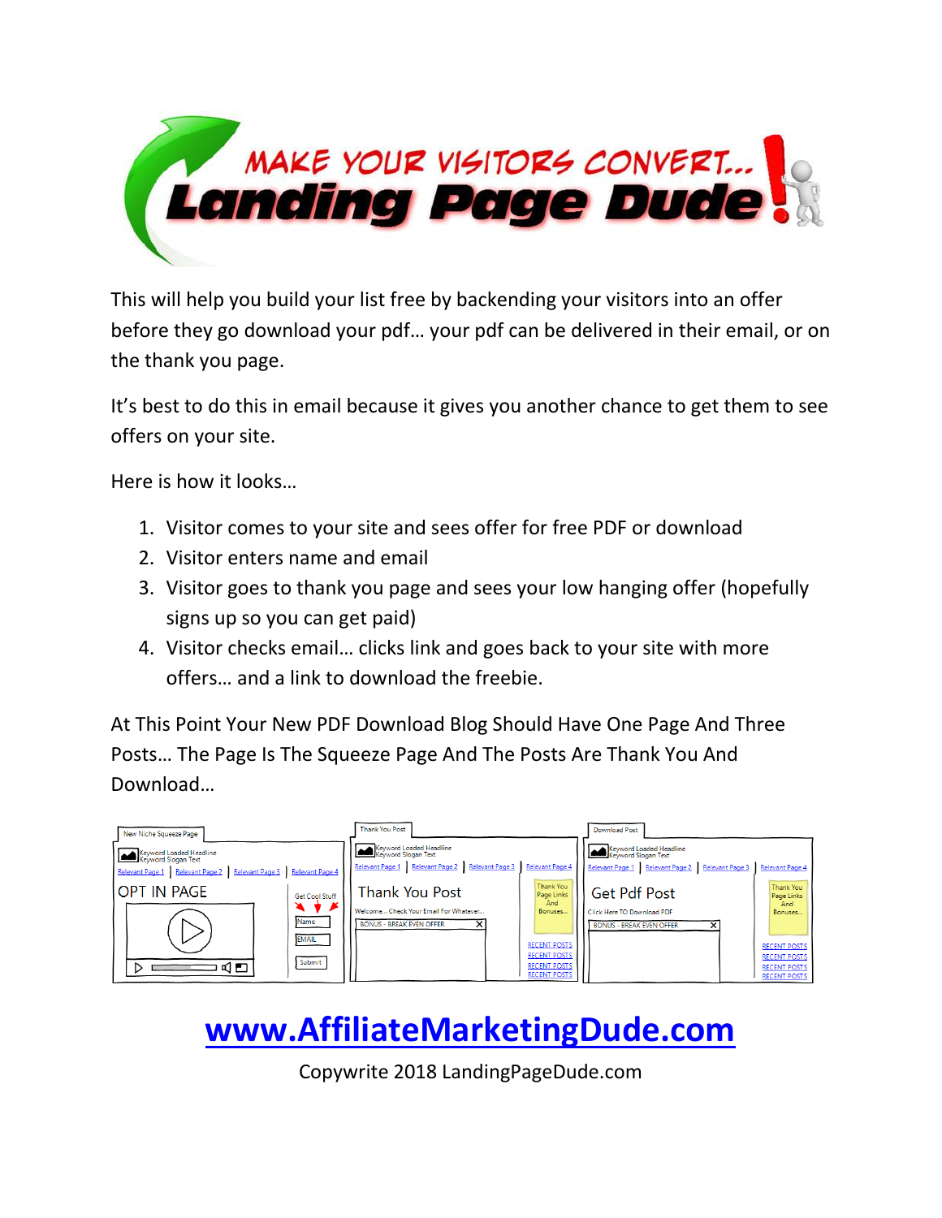

This will help you build your list free by backending your visitors into an offer before they go download your pdf… your pdf can be delivered in their email, or on the thank you page.

It's best to do this in email because it gives you another chance to get them to see offers on your site.

Here is how it looks…

- 1. Visitor comes to your site and sees offer for free PDF or download
- 2. Visitor enters name and email
- 3. Visitor goes to thank you page and sees your low hanging offer (hopefully signs up so you can get paid)
- 4. Visitor checks email… clicks link and goes back to your site with more offers… and a link to download the freebie.

At This Point Your New PDF Download Blog Should Have One Page And Three Posts… The Page Is The Squeeze Page And The Posts Are Thank You And Download…

| New Niche Squeeze Page                                                                                                                                                                 | <b>Thank You Post</b>                                                                                                                                                                                  | <b>Download Post</b>                                                                                                                                                                                                                                                                                                                                                                                                                                                                                           |
|----------------------------------------------------------------------------------------------------------------------------------------------------------------------------------------|--------------------------------------------------------------------------------------------------------------------------------------------------------------------------------------------------------|----------------------------------------------------------------------------------------------------------------------------------------------------------------------------------------------------------------------------------------------------------------------------------------------------------------------------------------------------------------------------------------------------------------------------------------------------------------------------------------------------------------|
| Keyword Loaded Headline<br>Relevant Page 1 Relevant Page 2 Relevant Page 3 Relevant Page 4<br>OPT IN PAGE<br><b>Get Cool Stuff</b><br>◥<br>▾▸<br>Name<br><b>EMAIL</b><br>Submit<br>๔⊩ฅ | Keyword Loaded Headline<br>Keyword Slogan Text<br>Relevant Page 1 Relevant Page 2 Relevant Page 3<br><b>Thank You Post</b><br>Welcome Check Your Email For Whatever<br><b>BONUS - BREAK EVEN OFFER</b> | Keyword Loaded Headline<br>Relevant Page 4<br>Relevant Page 1 Relevant Page 2 Relevant Page 3<br>Relevant Page 4<br><b>Thank You</b><br><b>Thank You</b><br><b>Get Pdf Post</b><br>Page Links<br>Page Links<br>And<br>And<br>Bonuses.<br>Click Here TO Download PDF<br>Bonuses<br><b>BONUS - BREAK EVEN OFFER</b><br>×<br><b>RECENT POSTS</b><br><b>RECENT POSTS</b><br><b>RECENT POSTS</b><br><b>RECENT POSTS</b><br><b>RECENT POSTS</b><br><b>RECENT POSTS</b><br><b>RECENT POSTS</b><br><b>RECENT POSTS</b> |

# **[www.AffiliateMarketingDude.com](http://www.affiliatemarketingdude.com/)**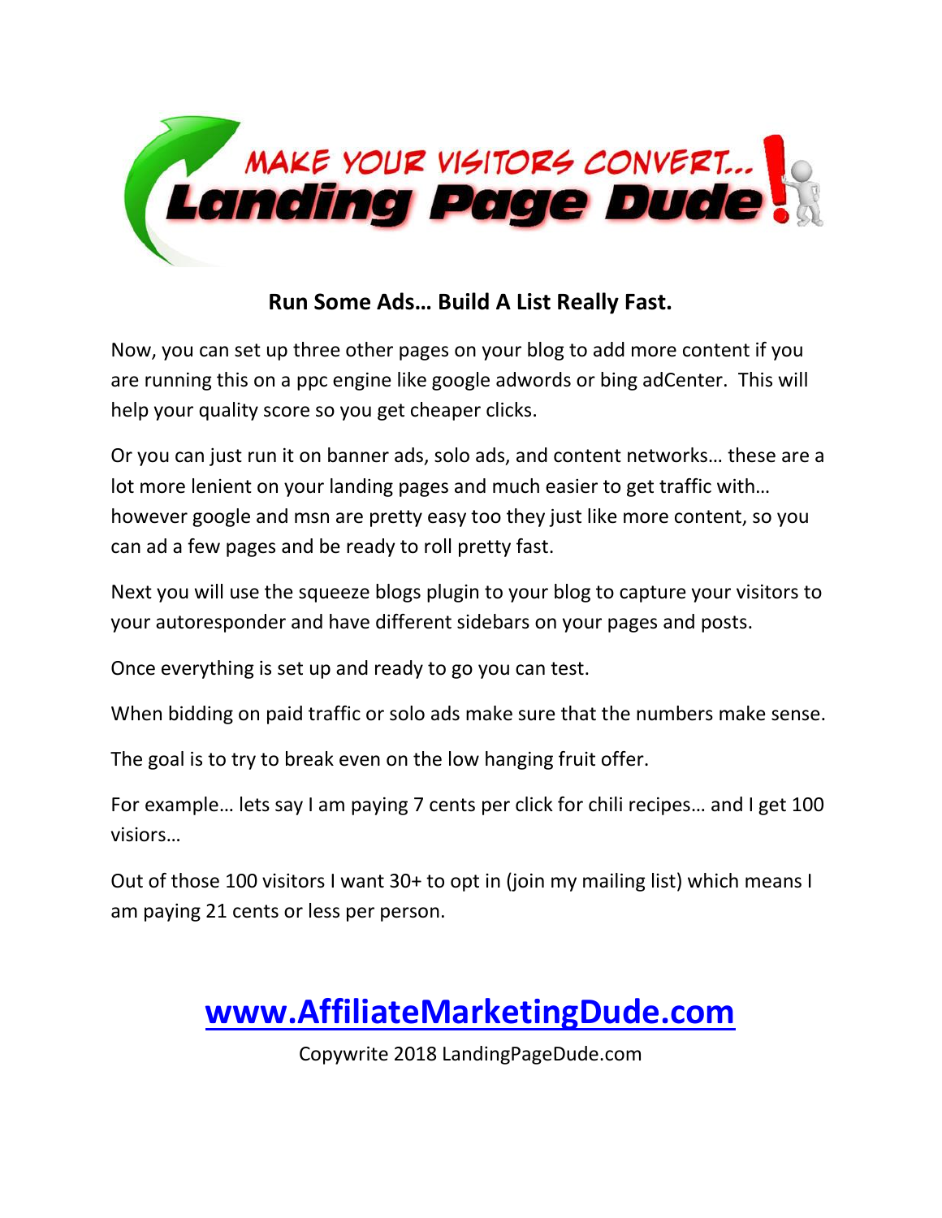

#### **Run Some Ads… Build A List Really Fast.**

Now, you can set up three other pages on your blog to add more content if you are running this on a ppc engine like google adwords or bing adCenter. This will help your quality score so you get cheaper clicks.

Or you can just run it on banner ads, solo ads, and content networks… these are a lot more lenient on your landing pages and much easier to get traffic with… however google and msn are pretty easy too they just like more content, so you can ad a few pages and be ready to roll pretty fast.

Next you will use the squeeze blogs plugin to your blog to capture your visitors to your autoresponder and have different sidebars on your pages and posts.

Once everything is set up and ready to go you can test.

When bidding on paid traffic or solo ads make sure that the numbers make sense.

The goal is to try to break even on the low hanging fruit offer.

For example… lets say I am paying 7 cents per click for chili recipes… and I get 100 visiors…

Out of those 100 visitors I want 30+ to opt in (join my mailing list) which means I am paying 21 cents or less per person.

### **[www.AffiliateMarketingDude.com](http://www.affiliatemarketingdude.com/)**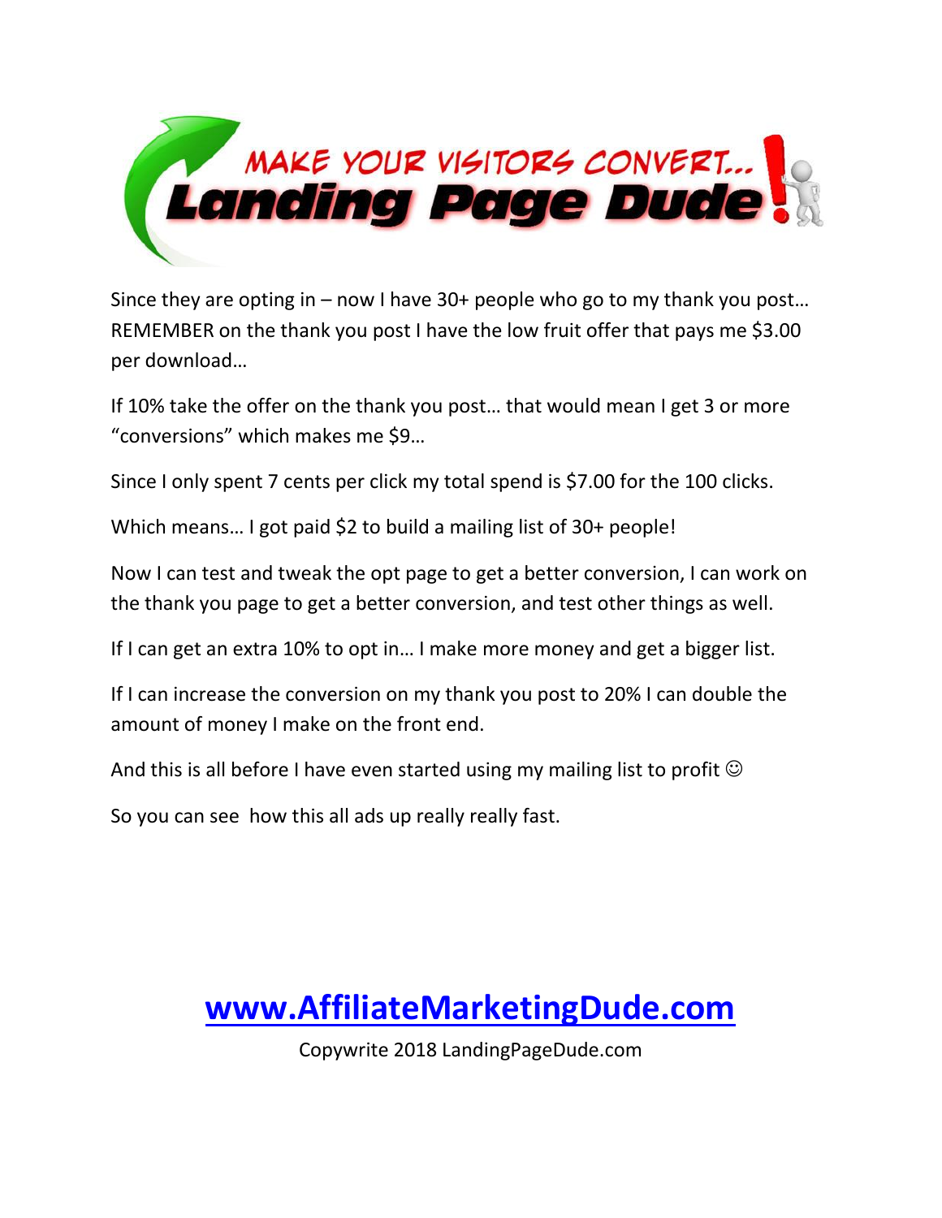

Since they are opting in – now I have 30+ people who go to my thank you post… REMEMBER on the thank you post I have the low fruit offer that pays me \$3.00 per download…

If 10% take the offer on the thank you post… that would mean I get 3 or more "conversions" which makes me \$9…

Since I only spent 7 cents per click my total spend is \$7.00 for the 100 clicks.

Which means… I got paid \$2 to build a mailing list of 30+ people!

Now I can test and tweak the opt page to get a better conversion, I can work on the thank you page to get a better conversion, and test other things as well.

If I can get an extra 10% to opt in… I make more money and get a bigger list.

If I can increase the conversion on my thank you post to 20% I can double the amount of money I make on the front end.

And this is all before I have even started using my mailing list to profit  $\odot$ 

So you can see how this all ads up really really fast.

### **[www.AffiliateMarketingDude.com](http://www.affiliatemarketingdude.com/)**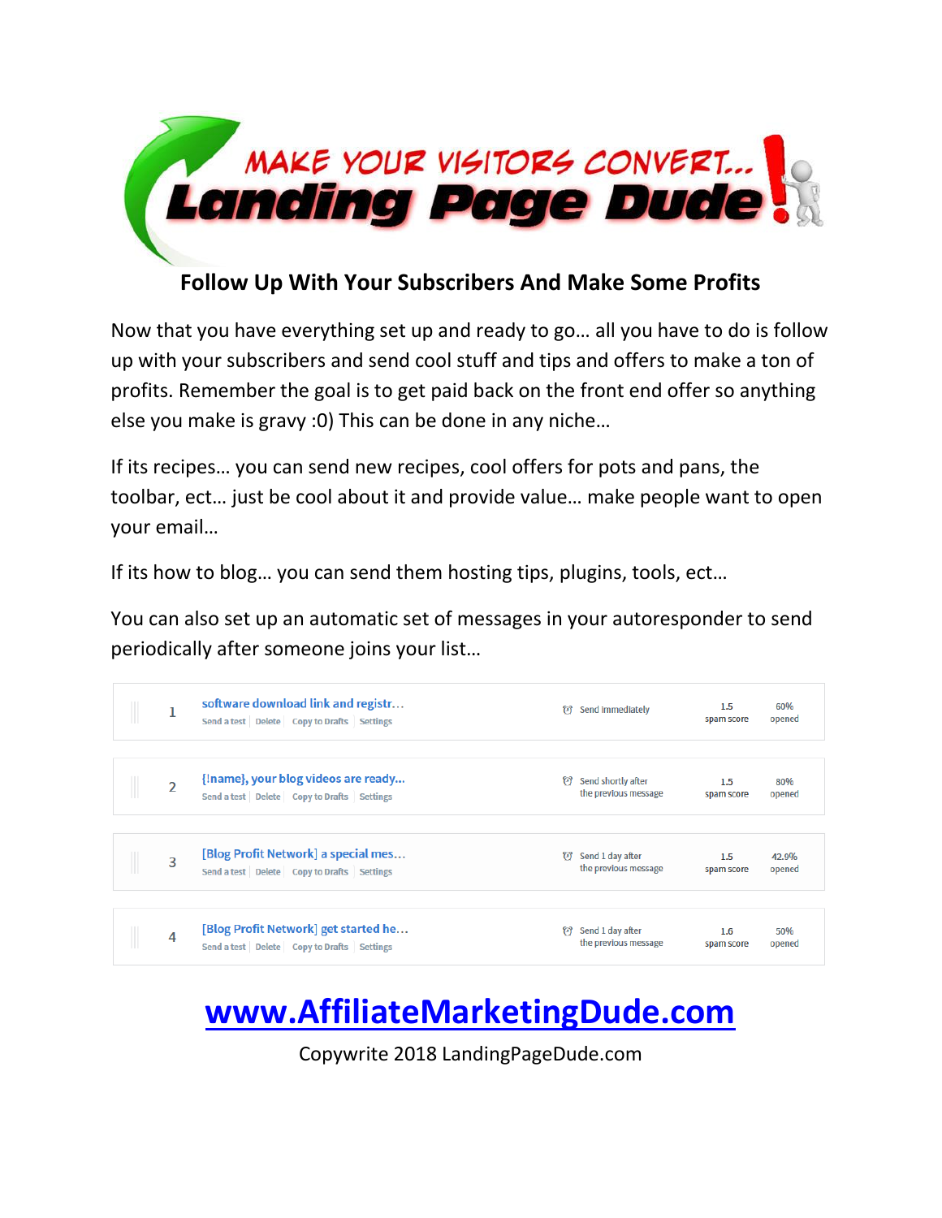

#### **Follow Up With Your Subscribers And Make Some Profits**

Now that you have everything set up and ready to go… all you have to do is follow up with your subscribers and send cool stuff and tips and offers to make a ton of profits. Remember the goal is to get paid back on the front end offer so anything else you make is gravy :0) This can be done in any niche…

If its recipes… you can send new recipes, cool offers for pots and pans, the toolbar, ect… just be cool about it and provide value… make people want to open your email…

If its how to blog… you can send them hosting tips, plugins, tools, ect…

You can also set up an automatic set of messages in your autoresponder to send periodically after someone joins your list…

|                | software download link and registr<br>Send a test Delete Copy to Drafts Settings         | 63 | Send immediately                           | 1.5<br>spam score | 60%<br>opened   |
|----------------|------------------------------------------------------------------------------------------|----|--------------------------------------------|-------------------|-----------------|
| $\overline{2}$ | {!name}, your blog videos are ready<br>Send a test   Delete   Copy to Drafts   Settings  | 63 | Send shortly after<br>the previous message | 1.5<br>spam score | 80%<br>opened   |
| 3              | [Blog Profit Network] a special mes<br>Send a test Delete Copy to Drafts Settings        | O  | Send 1 day after<br>the previous message   | 1.5<br>spam score | 42.9%<br>opened |
| 4              | [Blog Profit Network] get started he<br>Send a test   Delete   Copy to Drafts   Settings | 63 | Send 1 day after<br>the previous message   | 1.6<br>spam score | 50%<br>opened   |

## **[www.AffiliateMarketingDude.com](http://www.affiliatemarketingdude.com/)**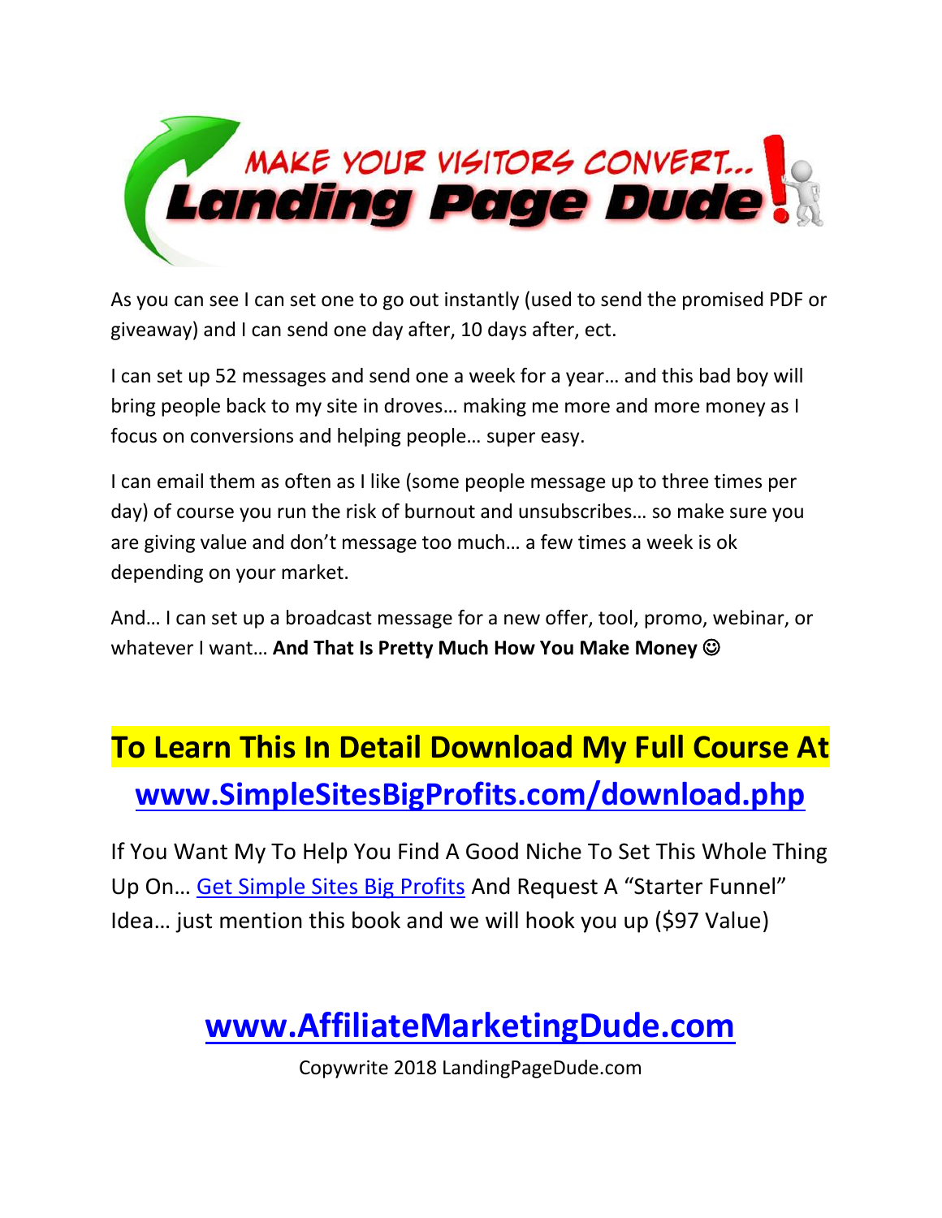

As you can see I can set one to go out instantly (used to send the promised PDF or giveaway) and I can send one day after, 10 days after, ect.

I can set up 52 messages and send one a week for a year… and this bad boy will bring people back to my site in droves… making me more and more money as I focus on conversions and helping people… super easy.

I can email them as often as I like (some people message up to three times per day) of course you run the risk of burnout and unsubscribes… so make sure you are giving value and don't message too much… a few times a week is ok depending on your market.

And… I can set up a broadcast message for a new offer, tool, promo, webinar, or whatever I want... **And That Is Pretty Much How You Make Money**  $\odot$ 

# **To Learn This In Detail Download My Full Course At [www.SimpleSitesBigProfits.com/download.php](http://www.simplesitesbigprofits.com/download.php)**

If You Want My To Help You Find A Good Niche To Set This Whole Thing Up On… [Get Simple Sites Big Profits](http://www.simplesitesbigprofits.com/download.php) And Request A "Starter Funnel" Idea… just mention this book and we will hook you up (\$97 Value)

## **[www.AffiliateMarketingDude.com](http://www.affiliatemarketingdude.com/)**